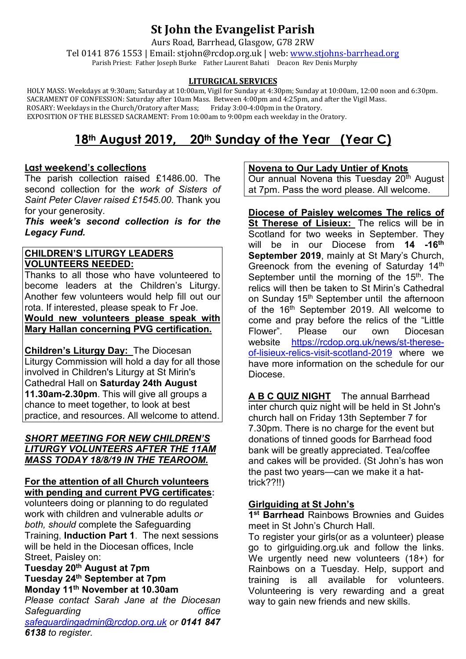# **St John the Evangelist Parish**

Aurs Road, Barrhead, Glasgow, G78 2RW

Tel 0141 876 1553 | Email: stjohn@rcdop.org.uk | web: [www.stjohns-barrhead.org](http://www.stjohns-barrhead.org/) Parish Priest: Father Joseph Burke Father Laurent Bahati Deacon Rev Denis Murphy

#### **LITURGICAL SERVICES**

 HOLY MASS: Weekdays at 9:30am; Saturday at 10:00am, Vigil for Sunday at 4:30pm; Sunday at 10:00am, 12:00 noon and 6:30pm. SACRAMENT OF CONFESSION: Saturday after 10am Mass. Between 4:00pm and 4:25pm, and after the Vigil Mass.<br>ROSARY: Weekdays in the Church/Oratory after Mass; Friday 3:00-4:00pm in the Oratory. ROSARY: Weekdays in the Church/Oratory after Mass; Friday 3:00-4:00pm in the Oratory. EXPOSITION OF THE BLESSED SACRAMENT: From 10:00am to 9:00pm each weekday in the Oratory.

# **18th August 2019, 20th Sunday of the Year (Year C)**

### **Last weekend's collections**

The parish collection raised £1486.00. The second collection for the *work of Sisters of Saint Peter Claver raised £1545.00*. Thank you for your generosity.

*This week's second collection is for the Legacy Fund.* 

### **CHILDREN'S LITURGY LEADERS VOLUNTEERS NEEDED:**

Thanks to all those who have volunteered to become leaders at the Children's Liturgy. Another few volunteers would help fill out our rota. If interested, please speak to Fr Joe.

**Would new volunteers please speak with Mary Hallan concerning PVG certification.**

**Children's Liturgy Day:** The Diocesan Liturgy Commission will hold a day for all those involved in Children's Liturgy at St Mirin's Cathedral Hall on **Saturday 24th August 11.30am-2.30pm**. This will give all groups a chance to meet together, to look at best practice, and resources. All welcome to attend.

#### *SHORT MEETING FOR NEW CHILDREN'S LITURGY VOLUNTEERS AFTER THE 11AM MASS TODAY 18/8/19 IN THE TEAROOM.*

#### **For the attention of all Church volunteers with pending and current PVG certificates:**

volunteers doing or planning to do regulated work with children and vulnerable adults *or both, should* complete the Safeguarding Training, **Induction Part 1**. The next sessions will be held in the Diocesan offices, Incle Street, Paisley on:

#### **Tuesday 20th August at 7pm Tuesday 24th September at 7pm Monday 11th November at 10.30am**

*Please contact Sarah Jane at the Diocesan Safeguarding office [safeguardingadmin@rcdop.org.uk](mailto:safeguardingadmin@rcdop.org.uk) or 0141 847 6138 to register.*

#### **Novena to Our Lady Untier of Knots**

Our annual Novena this Tuesday  $20<sup>th</sup>$  August at 7pm. Pass the word please. All welcome.

**Diocese of Paisley welcomes The relics of St Therese of Lisieux:** The relics will be in Scotland for two weeks in September. They will be in our Diocese from **14 -16th September 2019**, mainly at St Mary's Church, Greenock from the evening of Saturday 14<sup>th</sup> September until the morning of the 15<sup>th</sup>. The relics will then be taken to St Mirin's Cathedral on Sunday 15<sup>th</sup> September until the afternoon of the 16<sup>th</sup> September 2019. All welcome to come and pray before the relics of the "Little Flower". Please our own Diocesan<br>website https://rcdop.org.uk/news/st-therese[https://rcdop.org.uk/news/st-therese](https://rcdop.org.uk/news/st-therese-of-lisieux-relics-visit-scotland-2019)[of-lisieux-relics-visit-scotland-2019](https://rcdop.org.uk/news/st-therese-of-lisieux-relics-visit-scotland-2019) where we have more information on the schedule for our Diocese.

**A B C QUIZ NIGHT** The annual Barrhead inter church quiz night will be held in St John's church hall on Friday 13th September 7 for 7.30pm. There is no charge for the event but donations of tinned goods for Barrhead food bank will be greatly appreciated. Tea/coffee and cakes will be provided. (St John's has won the past two years—can we make it a hattrick??!!)

## **Girlguiding at St John's**

**1st Barrhead** Rainbows Brownies and Guides meet in St John's Church Hall.

To register your girls(or as a volunteer) please go to girlguiding.org.uk and follow the links. We urgently need new volunteers (18+) for Rainbows on a Tuesday. Help, support and training is all available for volunteers. Volunteering is very rewarding and a great way to gain new friends and new skills.